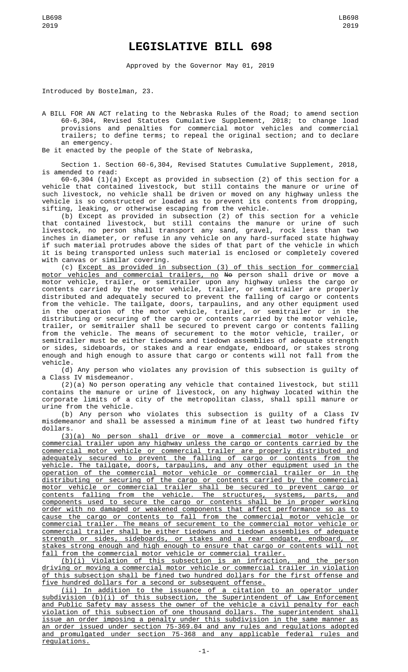## **LEGISLATIVE BILL 698**

Approved by the Governor May 01, 2019

Introduced by Bostelman, 23.

A BILL FOR AN ACT relating to the Nebraska Rules of the Road; to amend section 60-6,304, Revised Statutes Cumulative Supplement, 2018; to change load provisions and penalties for commercial motor vehicles and commercial trailers; to define terms; to repeal the original section; and to declare an emergency.

Be it enacted by the people of the State of Nebraska,

Section 1. Section 60-6,304, Revised Statutes Cumulative Supplement, 2018, is amended to read:

60-6,304 (1)(a) Except as provided in subsection (2) of this section for a vehicle that contained livestock, but still contains the manure or urine of such livestock, no vehicle shall be driven or moved on any highway unless the vehicle is so constructed or loaded as to prevent its contents from dropping, sifting, leaking, or otherwise escaping from the vehicle.

(b) Except as provided in subsection (2) of this section for a vehicle that contained livestock, but still contains the manure or urine of such livestock, no person shall transport any sand, gravel, rock less than two inches in diameter, or refuse in any vehicle on any hard-surfaced state highway if such material protrudes above the sides of that part of the vehicle in which it is being transported unless such material is enclosed or completely covered with canvas or similar covering.

(c) Except as provided in subsection (3) of this section for commercial <u>motor vehicles and commercial trailers, no</u> <del>No</del> person shall drive or move a motor vehicle, trailer, or semitrailer upon any highway unless the cargo or contents carried by the motor vehicle, trailer, or semitrailer are properly distributed and adequately secured to prevent the falling of cargo or contents from the vehicle. The tailgate, doors, tarpaulins, and any other equipment used in the operation of the motor vehicle, trailer, or semitrailer or in the distributing or securing of the cargo or contents carried by the motor vehicle, trailer, or semitrailer shall be secured to prevent cargo or contents falling from the vehicle. The means of securement to the motor vehicle, trailer, or semitrailer must be either tiedowns and tiedown assemblies of adequate strength or sides, sideboards, or stakes and a rear endgate, endboard, or stakes strong enough and high enough to assure that cargo or contents will not fall from the vehicle.

(d) Any person who violates any provision of this subsection is guilty of a Class IV misdemeanor.

(2)(a) No person operating any vehicle that contained livestock, but still contains the manure or urine of livestock, on any highway located within the corporate limits of a city of the metropolitan class, shall spill manure or urine from the vehicle.

(b) Any person who violates this subsection is guilty of a Class IV misdemeanor and shall be assessed a minimum fine of at least two hundred fifty dollars.

(3)(a) No person shall drive or move a commercial motor vehicle or commercial trailer upon any highway unless the cargo or contents carried by the commercial motor vehicle or commercial trailer are properly distributed and adequately secured to prevent the falling of cargo or contents from the vehicle. The tailgate, doors, tarpaulins, and any other equipment used in the operation of the commercial motor vehicle or commercial trailer or in the distributing or securing of the cargo or contents carried by the commercial motor vehicle or commercial trailer shall be secured to prevent cargo or contents falling from the vehicle. The structures, systems, parts, and components used to secure the cargo or contents shall be in proper working order with no damaged or weakened components that affect performance so as to cause the cargo or contents to fall from the commercial motor vehicle or commercial trailer. The means of securement to the commercial motor vehicle or commercial trailer shall be either tiedowns and tiedown assemblies of adequate strength or sides, sideboards, or stakes and a rear endgate, endboard, or stakes strong enough and high enough to ensure that cargo or contents will not fall from the commercial motor vehicle or commercial trailer.

(b)(i) Violation of this subsection is an infraction, and the person driving or moving a commercial motor vehicle or commercial trailer in violation of this subsection shall be fined two hundred dollars for the first offense and five hundred dollars for a second or subsequent offense.

(ii) In addition to the issuance of a citation to an operator under subdivision (b)(i) of this subsection, the Superintendent of Law Enforcement and Public Safety may assess the owner of the vehicle a civil penalty for each violation of this subsection of one thousand dollars. The superintendent shall issue an order imposing a penalty under this subdivision in the same manner as an order issued under section 75-369.04 and any rules and regulations adopted and promulgated under section 75-368 and any applicable federal rules and regulations.